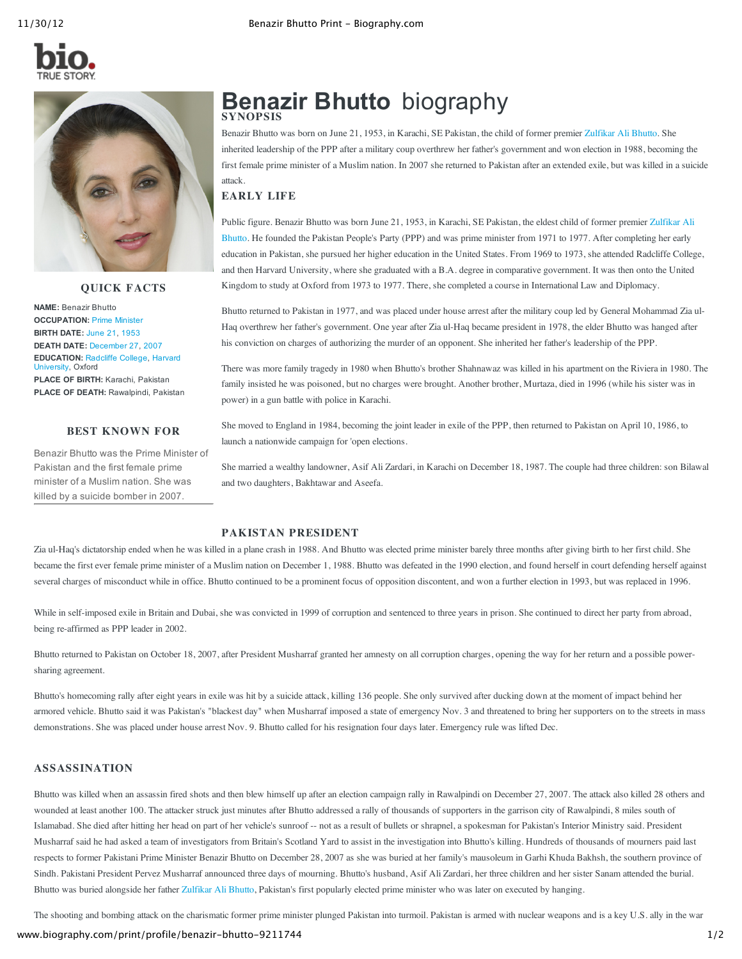



### **QUICK FACTS**

**NAME:** Benazir Bhutto **OCCUPATION:** Prime [Minister](http://www.biography.com/people/groups/political-leaders/prime-ministers/) **BIRTH DATE:** [June](http://www.biography.com/people/groups/born-on-june-21/) 21, [1953](http://www.biography.com/people/groups/born-1953/) **DEATH DATE:** [December](http://www.biography.com/people/groups/died-on-december-27/) 27, [2007](http://www.biography.com/people/groups/died-2007/) **[EDUCATION:](http://www.biography.com/people/groups/famous-alumni-of-harvard-university/)** [Radcliffe](http://www.biography.com/people/groups/famous-alumni-of-radcliffe-college/) College, Harvard University, Oxford **PLACE OF BIRTH:** Karachi, Pakistan **PLACE OF DEATH:** Rawalpindi, Pakistan

# **BEST KNOWN FOR**

Benazir Bhutto was the Prime Minister of Pakistan and the first female prime minister of a Muslim nation. She was killed by a suicide bomber in 2007.

# **Benazir Bhutto** biography **SYNOPSIS**

Benazir Bhutto was born on June 21, 1953, in Karachi, SE Pakistan, the child of former premier [Zulfikar](http://www.biography.com/people/zulfikar-ali-bhutto-9211759) Ali Bhutto. She inherited leadership of the PPP after a military coup overthrew her father's government and won election in 1988, becoming the first female prime minister of a Muslim nation. In 2007 she returned to Pakistan after an extended exile, but was killed in a suicide attack.

# **EARLY LIFE**

Public figure. Benazir Bhutto was born June 21, 1953, in Karachi, SE Pakistan, the eldest child of former premier Zulfikar Ali Bhutto. He founded the Pakistan People's Party (PPP) and was prime minister from 1971 to 1977. After [completing](http://www.biography.com/people/zulfikar-ali-bhutto-9211759) her early education in Pakistan, she pursued her higher education in the United States. From 1969 to 1973, she attended Radcliffe College, and then Harvard University, where she graduated with a B.A. degree in comparative government. It was then onto the United Kingdom to study at Oxford from 1973 to 1977. There, she completed a course in International Law and Diplomacy.

Bhutto returned to Pakistan in 1977, and was placed under house arrest after the military coup led by General Mohammad Zia ul-Haq overthrew her father's government. One year after Zia ul-Haq became president in 1978, the elder Bhutto was hanged after his conviction on charges of authorizing the murder of an opponent. She inherited her father's leadership of the PPP.

There was more family tragedy in 1980 when Bhutto's brother Shahnawaz was killed in his apartment on the Riviera in 1980. The family insisted he was poisoned, but no charges were brought. Another brother, Murtaza, died in 1996 (while his sister was in power) in a gun battle with police in Karachi.

She moved to England in 1984, becoming the joint leader in exile of the PPP, then returned to Pakistan on April 10, 1986, to launch a nationwide campaign for 'open elections.

She married a wealthy landowner, Asif Ali Zardari, in Karachi on December 18, 1987. The couple had three children: son Bilawal and two daughters, Bakhtawar and Aseefa.

# **PAKISTAN PRESIDENT**

Zia ul-Haq's dictatorship ended when he was killed in a plane crash in 1988. And Bhutto was elected prime minister barely three months after giving birth to her first child. She became the first ever female prime minister of a Muslim nation on December 1, 1988. Bhutto was defeated in the 1990 election, and found herself in court defending herself against several charges of misconduct while in office. Bhutto continued to be a prominent focus of opposition discontent, and won a further election in 1993, but was replaced in 1996.

While in self-imposed exile in Britain and Dubai, she was convicted in 1999 of corruption and sentenced to three years in prison. She continued to direct her party from abroad, being re-affirmed as PPP leader in 2002.

Bhutto returned to Pakistan on October 18, 2007, after President Musharraf granted her amnesty on all corruption charges, opening the way for her return and a possible powersharing agreement.

Bhutto's homecoming rally after eight years in exile was hit by a suicide attack, killing 136 people. She only survived after ducking down at the moment of impact behind her armored vehicle. Bhutto said it was Pakistan's "blackest day" when Musharraf imposed a state of emergency Nov. 3 and threatened to bring her supporters on to the streets in mass demonstrations. She was placed under house arrest Nov. 9. Bhutto called for his resignation four days later. Emergency rule was lifted Dec.

# **ASSASSINATION**

Bhutto was killed when an assassin fired shots and then blew himself up after an election campaign rally in Rawalpindi on December 27, 2007. The attack also killed 28 others and wounded at least another 100. The attacker struck just minutes after Bhutto addressed a rally of thousands of supporters in the garrison city of Rawalpindi, 8 miles south of Islamabad. She died after hitting her head on part of her vehicle's sunroof -- not as a result of bullets or shrapnel, a spokesman for Pakistan's Interior Ministry said. President Musharraf said he had asked a team of investigators from Britain's Scotland Yard to assist in the investigation into Bhutto's killing. Hundreds of thousands of mourners paid last respects to former Pakistani Prime Minister Benazir Bhutto on December 28, 2007 as she was buried at her family's mausoleum in Garhi Khuda Bakhsh, the southern province of Sindh. Pakistani President Pervez Musharraf announced three days of mourning. Bhutto's husband, Asif Ali Zardari, her three children and her sister Sanam attended the burial. Bhutto was buried alongside her father [Zulfikar](http://www.biography.com/people/zulfikar-ali-bhutto-9211759) Ali Bhutto, Pakistan's first popularly elected prime minister who was later on executed by hanging.

The shooting and bombing attack on the charismatic former prime minister plunged Pakistan into turmoil. Pakistan is armed with nuclear weapons and is a key U.S. ally in the war

# www.biography.com/print/profile/benazir-bhutto-9211744 1/2